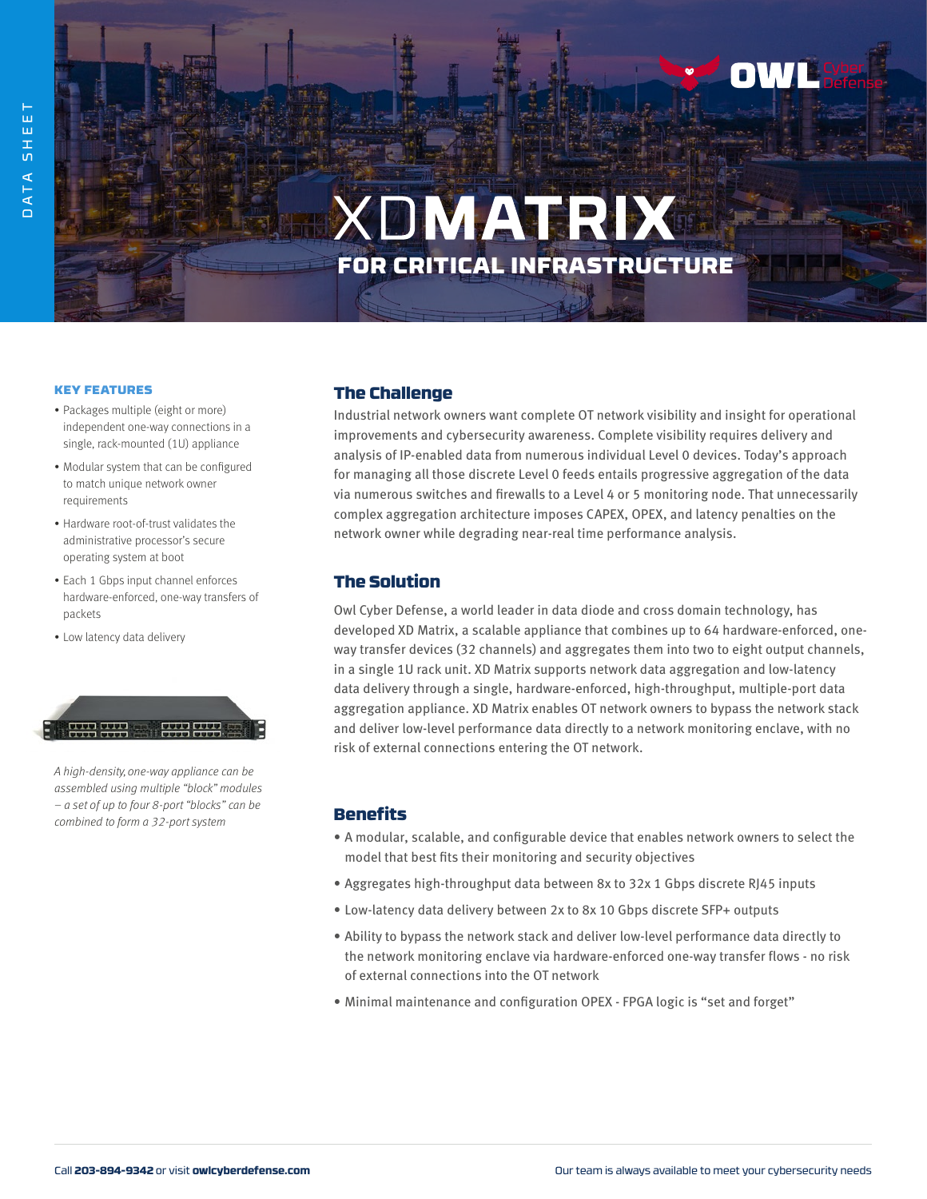

# **XDMATRIX** FOR CRITICAL INFRASTRUCTURE

#### KEY FEATURES

- Packages multiple (eight or more) independent one-way connections in a single, rack-mounted (1U) appliance
- Modular system that can be configured to match unique network owner requirements
- Hardware root-of-trust validates the administrative processor's secure operating system at boot
- Each 1 Gbps input channel enforces hardware-enforced, one-way transfers of packets
- Low latency data delivery

 $\frac{1}{2}$ <u>an ann ann</u>

A high-density, one-way appliance can be assembled using multiple "block" modules – a set of up to four 8-port "blocks" can be combined to form a 32-port system

## The Challenge

Industrial network owners want complete OT network visibility and insight for operational improvements and cybersecurity awareness. Complete visibility requires delivery and analysis of IP-enabled data from numerous individual Level 0 devices. Today's approach for managing all those discrete Level 0 feeds entails progressive aggregation of the data via numerous switches and firewalls to a Level 4 or 5 monitoring node. That unnecessarily complex aggregation architecture imposes CAPEX, OPEX, and latency penalties on the network owner while degrading near-real time performance analysis.

### The Solution

Owl Cyber Defense, a world leader in data diode and cross domain technology, has developed XD Matrix, a scalable appliance that combines up to 64 hardware-enforced, oneway transfer devices (32 channels) and aggregates them into two to eight output channels, in a single 1U rack unit. XD Matrix supports network data aggregation and low-latency data delivery through a single, hardware-enforced, high-throughput, multiple-port data aggregation appliance. XD Matrix enables OT network owners to bypass the network stack and deliver low-level performance data directly to a network monitoring enclave, with no risk of external connections entering the OT network.

#### Benefits

- A modular, scalable, and configurable device that enables network owners to select the model that best fits their monitoring and security objectives
- Aggregates high-throughput data between 8x to 32x 1 Gbps discrete RJ45 inputs
- Low-latency data delivery between 2x to 8x 10 Gbps discrete SFP+ outputs
- Ability to bypass the network stack and deliver low-level performance data directly to the network monitoring enclave via hardware-enforced one-way transfer flows - no risk of external connections into the OT network
- Minimal maintenance and configuration OPEX FPGA logic is "set and forget"